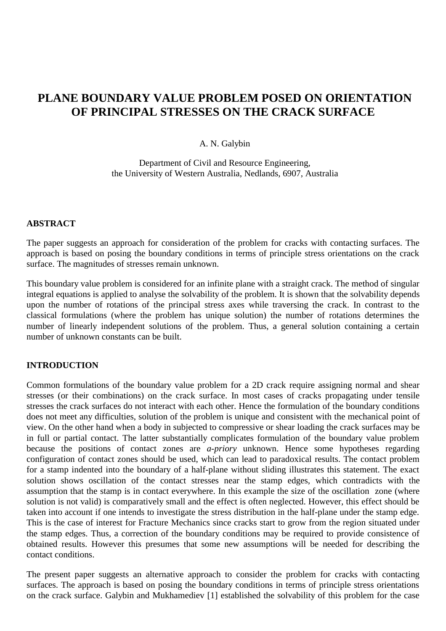# **PLANE BOUNDARY VALUE PROBLEM POSED ON ORIENTATION OF PRINCIPAL STRESSES ON THE CRACK SURFACE**

## A. N. Galybin

Department of Civil and Resource Engineering, the University of Western Australia, Nedlands, 6907, Australia

#### **ABSTRACT**

The paper suggests an approach for consideration of the problem for cracks with contacting surfaces. The approach is based on posing the boundary conditions in terms of principle stress orientations on the crack surface. The magnitudes of stresses remain unknown.

This boundary value problem is considered for an infinite plane with a straight crack. The method of singular integral equations is applied to analyse the solvability of the problem. It is shown that the solvability depends upon the number of rotations of the principal stress axes while traversing the crack. In contrast to the classical formulations (where the problem has unique solution) the number of rotations determines the number of linearly independent solutions of the problem. Thus, a general solution containing a certain number of unknown constants can be built.

## **INTRODUCTION**

Common formulations of the boundary value problem for a 2D crack require assigning normal and shear stresses (or their combinations) on the crack surface. In most cases of cracks propagating under tensile stresses the crack surfaces do not interact with each other. Hence the formulation of the boundary conditions does not meet any difficulties, solution of the problem is unique and consistent with the mechanical point of view. On the other hand when a body in subjected to compressive or shear loading the crack surfaces may be in full or partial contact. The latter substantially complicates formulation of the boundary value problem because the positions of contact zones are *a-priory* unknown. Hence some hypotheses regarding configuration of contact zones should be used, which can lead to paradoxical results. The contact problem for a stamp indented into the boundary of a half-plane without sliding illustrates this statement. The exact solution shows oscillation of the contact stresses near the stamp edges, which contradicts with the assumption that the stamp is in contact everywhere. In this example the size of the oscillation zone (where solution is not valid) is comparatively small and the effect is often neglected. However, this effect should be taken into account if one intends to investigate the stress distribution in the half-plane under the stamp edge. This is the case of interest for Fracture Mechanics since cracks start to grow from the region situated under the stamp edges. Thus, a correction of the boundary conditions may be required to provide consistence of obtained results. However this presumes that some new assumptions will be needed for describing the contact conditions.

The present paper suggests an alternative approach to consider the problem for cracks with contacting surfaces. The approach is based on posing the boundary conditions in terms of principle stress orientations on the crack surface. Galybin and Mukhamediev [1] established the solvability of this problem for the case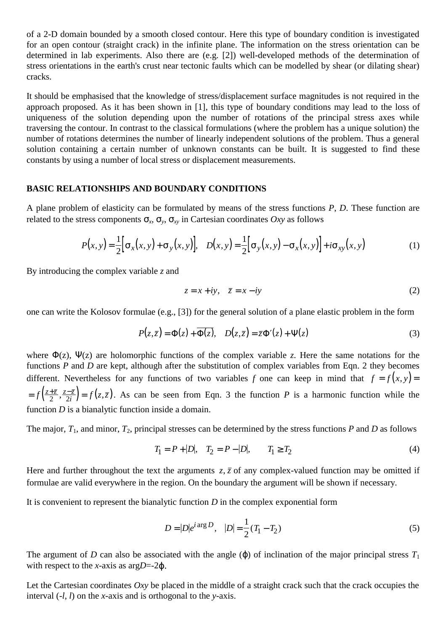of a 2-D domain bounded by a smooth closed contour. Here this type of boundary condition is investigated for an open contour (straight crack) in the infinite plane. The information on the stress orientation can be determined in lab experiments. Also there are (e.g. [2]) well-developed methods of the determination of stress orientations in the earth's crust near tectonic faults which can be modelled by shear (or dilating shear) cracks.

It should be emphasised that the knowledge of stress/displacement surface magnitudes is not required in the approach proposed. As it has been shown in [1], this type of boundary conditions may lead to the loss of uniqueness of the solution depending upon the number of rotations of the principal stress axes while traversing the contour. In contrast to the classical formulations (where the problem has a unique solution) the number of rotations determines the number of linearly independent solutions of the problem. Thus a general solution containing a certain number of unknown constants can be built. It is suggested to find these constants by using a number of local stress or displacement measurements.

#### **BASIC RELATIONSHIPS AND BOUNDARY CONDITIONS**

A plane problem of elasticity can be formulated by means of the stress functions *P*, *D*. These function are related to the stress components  $\sigma_x$ ,  $\sigma_y$ ,  $\sigma_x$ , in Cartesian coordinates *Oxy* as follows

$$
P(x,y) = \frac{1}{2} \Big[ \sigma_x(x,y) + \sigma_y(x,y) \Big], \quad D(x,y) = \frac{1}{2} \Big[ \sigma_y(x,y) - \sigma_x(x,y) \Big] + i \sigma_{xy}(x,y) \tag{1}
$$

By introducing the complex variable *z* and

$$
z = x + iy, \quad \overline{z} = x - iy \tag{2}
$$

one can write the Kolosov formulae (e.g., [3]) for the general solution of a plane elastic problem in the form

$$
P(z,\bar{z}) = \Phi(z) + \overline{\Phi(z)}, \quad D(z,\bar{z}) = \bar{z}\Phi'(z) + \Psi(z)
$$
 (3)

where  $\Phi(z)$ ,  $\Psi(z)$  are holomorphic functions of the complex variable *z*. Here the same notations for the functions *P* and *D* are kept, although after the substitution of complex variables from Eqn. 2 they becomes different. Nevertheless for any functions of two variables *f* one can keep in mind that  $f = f(x, y) =$  $=f\left(\frac{z+\overline{z}}{2},\frac{z-\overline{z}}{2i}\right)=f(z,\overline{z})$ . As can be seen from Eqn. 3 the function *P* is a harmonic function while the function *D* is a bianalytic function inside a domain.

The major,  $T_1$ , and minor,  $T_2$ , principal stresses can be determined by the stress functions  $P$  and  $D$  as follows

$$
T_1 = P + |D|, \quad T_2 = P - |D|, \qquad T_1 \ge T_2 \tag{4}
$$

Here and further throughout the text the arguments  $z, \bar{z}$  of any complex-valued function may be omitted if formulae are valid everywhere in the region. On the boundary the argument will be shown if necessary.

It is convenient to represent the bianalytic function *D* in the complex exponential form

$$
D = |D|e^{i \arg D}, \quad |D| = \frac{1}{2}(T_1 - T_2)
$$
\n(5)

The argument of *D* can also be associated with the angle  $(\varphi)$  of inclination of the major principal stress  $T_1$ with respect to the *x*-axis as arg*D*=-2 $\omega$ .

Let the Cartesian coordinates *Oxy* be placed in the middle of a straight crack such that the crack occupies the interval (-*l*, *l*) on the *x*-axis and is orthogonal to the *y*-axis.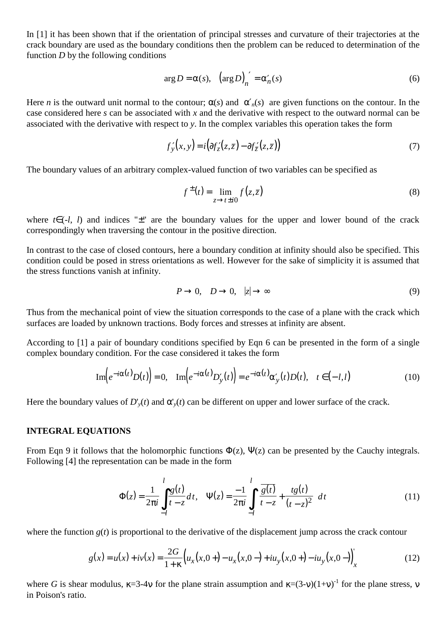In [1] it has been shown that if the orientation of principal stresses and curvature of their trajectories at the crack boundary are used as the boundary conditions then the problem can be reduced to determination of the function *D* by the following conditions

$$
\arg D = \alpha(s), \quad \left(\arg D\right)_n' = \alpha'_n(s) \tag{6}
$$

Here *n* is the outward unit normal to the contour;  $\alpha(s)$  and  $\alpha'_n(s)$  are given functions on the contour. In the case considered here *s* can be associated with *x* and the derivative with respect to the outward normal can be associated with the derivative with respect to *y*. In the complex variables this operation takes the form

$$
f'_{y}(x, y) = i(\partial f'_{z}(z, \bar{z}) - \partial f'_{\bar{z}}(z, \bar{z}))
$$
\n<sup>(7)</sup>

The boundary values of an arbitrary complex-valued function of two variables can be specified as

$$
f^{\pm}(t) = \lim_{z \to t \pm i0} f(z, \bar{z})
$$
 (8)

where *t*∈(-*l*, *l*) and indices "±" are the boundary values for the upper and lower bound of the crack correspondingly when traversing the contour in the positive direction.

In contrast to the case of closed contours, here a boundary condition at infinity should also be specified. This condition could be posed in stress orientations as well. However for the sake of simplicity it is assumed that the stress functions vanish at infinity.

$$
P \to 0, \quad D \to 0, \quad |z| \to \infty \tag{9}
$$

Thus from the mechanical point of view the situation corresponds to the case of a plane with the crack which surfaces are loaded by unknown tractions. Body forces and stresses at infinity are absent.

According to [1] a pair of boundary conditions specified by Eqn 6 can be presented in the form of a single complex boundary condition. For the case considered it takes the form

$$
\operatorname{Im}\left(e^{-i\alpha(t)}D(t)\right) = 0, \quad \operatorname{Im}\left(e^{-i\alpha(t)}D'_{\mathcal{Y}}(t)\right) = e^{-i\alpha(t)}\alpha'_{\mathcal{Y}}(t)D(t), \quad t \in (-1,1)
$$
\n(10)

Here the boundary values of  $D'_{y}(t)$  and  $\alpha'_{y}(t)$  can be different on upper and lower surface of the crack.

#### **INTEGRAL EQUATIONS**

From Eqn 9 it follows that the holomorphic functions  $\Phi(z)$ ,  $\Psi(z)$  can be presented by the Cauchy integrals. Following [4] the representation can be made in the form

$$
\Phi(z) = \frac{1}{2\pi i} \int_{-l}^{l} \frac{g(t)}{t - z} dt, \quad \Psi(z) = \frac{-1}{2\pi i} \int_{-l}^{l} \left[ \frac{\overline{g(t)}}{t - z} + \frac{tg(t)}{(t - z)^2} \right] dt
$$
(11)

where the function  $g(t)$  is proportional to the derivative of the displacement jump across the crack contour

$$
g(x) = u(x) + iv(x) = \frac{2G}{1+\kappa} \Big( u_x(x,0+) - u_x(x,0+) + iu_y(x,0+) - iu_y(x,0-) \Big) \Big|_x
$$
 (12)

where *G* is shear modulus,  $\kappa=3-4v$  for the plane strain assumption and  $\kappa=(3-v)(1+v)^{-1}$  for the plane stress, v in Poison's ratio.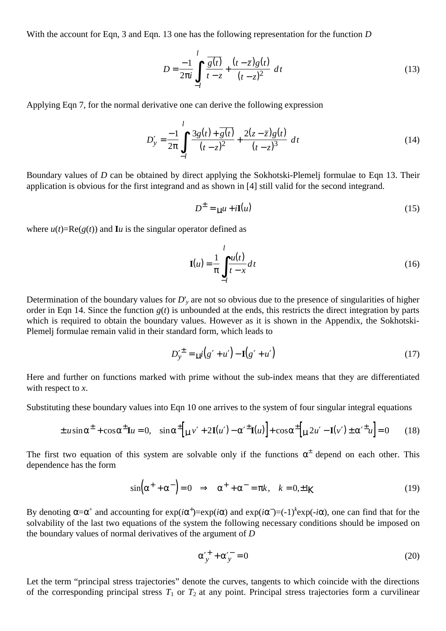With the account for Eqn, 3 and Eqn. 13 one has the following representation for the function *D*

$$
D = \frac{-1}{2\pi i} \int_{-l}^{l} \left[ \frac{\overline{g(t)}}{t - z} + \frac{(t - \overline{z})g(t)}{(t - z)^2} \right] dt
$$
 (13)

Applying Eqn 7, for the normal derivative one can derive the following expression

$$
D'_{y} = \frac{-1}{2\pi} \int_{-l}^{l} \left[ \frac{3g(t) + \overline{g(t)}}{(t - z)^{2}} + \frac{2(z - \overline{z})g(t)}{(t - z)^{3}} \right] dt
$$
 (14)

Boundary values of *D* can be obtained by direct applying the Sokhotski-Plemelj formulae to Eqn 13. Their application is obvious for the first integrand and as shown in [4] still valid for the second integrand.

$$
D^{\pm} = \mu u + i\mathbf{I}(u) \tag{15}
$$

where  $u(t) = \text{Re}(g(t))$  and **I***u* is the singular operator defined as

$$
\mathbf{I}(u) = \frac{1}{\pi} \int_{-l}^{l} \frac{u(t)}{t - x} dt
$$
 (16)

Determination of the boundary values for *D*'*y* are not so obvious due to the presence of singularities of higher order in Eqn 14. Since the function  $g(t)$  is unbounded at the ends, this restricts the direct integration by parts which is required to obtain the boundary values. However as it is shown in the Appendix, the Sokhotski-Plemelj formulae remain valid in their standard form, which leads to

$$
D_{\mathcal{Y}}^{\prime \pm} = \mu i \big( g' + u' \big) - \mathbf{I} \big( g' + u' \big) \tag{17}
$$

Here and further on functions marked with prime without the sub-index means that they are differentiated with respect to *x*.

Substituting these boundary values into Eqn 10 one arrives to the system of four singular integral equations

$$
\pm u \sin \alpha^{\pm} + \cos \alpha^{\pm} \mathbf{I} u = 0, \quad \sin \alpha^{\pm} \Big[ \mathbf{u} v' + 2 \mathbf{I}(u') - \alpha'^{\pm} \mathbf{I}(u) \Big] + \cos \alpha^{\pm} \Big[ \mathbf{u} 2u' - \mathbf{I}(v') \pm \alpha'^{\pm} u \Big] = 0 \tag{18}
$$

The first two equation of this system are solvable only if the functions  $\alpha^{\pm}$  depend on each other. This dependence has the form

$$
\sin\left(\alpha^+ + \alpha^-\right) = 0 \quad \Rightarrow \quad \alpha^+ + \alpha^- = \pi k, \quad k = 0, \pm 1K \tag{19}
$$

By denoting  $\alpha = \alpha^+$  and accounting for  $\exp(i\alpha^+) = \exp(i\alpha)$  and  $\exp(i\alpha^-) = (-1)^k \exp(-i\alpha)$ , one can find that for the solvability of the last two equations of the system the following necessary conditions should be imposed on the boundary values of normal derivatives of the argument of *D*

$$
\alpha_{y}^{\prime +} + \alpha_{y}^{\prime -} = 0 \tag{20}
$$

Let the term "principal stress trajectories" denote the curves, tangents to which coincide with the directions of the corresponding principal stress  $T_1$  or  $T_2$  at any point. Principal stress trajectories form a curvilinear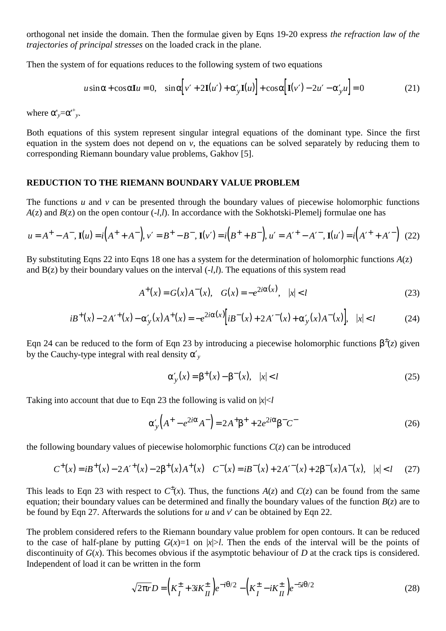orthogonal net inside the domain. Then the formulae given by Eqns 19-20 express *the refraction law of the trajectories of principal stresses* on the loaded crack in the plane.

Then the system of for equations reduces to the following system of two equations

$$
u\sin\alpha + \cos\alpha I u = 0, \quad \sin\alpha \Big[ v' + 2I(u') + \alpha'_y I(u) \Big] + \cos\alpha \Big[ I(v') - 2u' - \alpha'_y u \Big] = 0 \tag{21}
$$

where  $\alpha'_{y} = \alpha'^{+}_{y}$ .

Both equations of this system represent singular integral equations of the dominant type. Since the first equation in the system does not depend on *v*, the equations can be solved separately by reducing them to corresponding Riemann boundary value problems, Gakhov [5].

### **REDUCTION TO THE RIEMANN BOUNDARY VALUE PROBLEM**

The functions  $u$  and  $v$  can be presented through the boundary values of piecewise holomorphic functions *A*(z) and *B*(z) on the open contour (-*l*,*l*). In accordance with the Sokhotski-Plemelj formulae one has

$$
u = A^{+} - A^{-}, \mathbf{I}(u) = i(A^{+} + A^{-}), v' = B^{+} - B^{-}, \mathbf{I}(v') = i(B^{+} + B^{-}), u' = A'^{+} - A'^{-}, \mathbf{I}(u') = i(A'^{+} + A'^{-}) \tag{22}
$$

By substituting Eqns 22 into Eqns 18 one has a system for the determination of holomorphic functions *A*(z) and B(z) by their boundary values on the interval (-*l*,*l*). The equations of this system read

$$
A^{+}(x) = G(x)A^{-}(x), \quad G(x) = -e^{2i\alpha(x)}, \quad |x| < l \tag{23}
$$

$$
iB^{+}(x) - 2A'^{+}(x) - \alpha'_{y}(x)A^{+}(x) = -e^{2i\alpha(x)}[iB^{-}(x) + 2A'^{-}(x) + \alpha'_{y}(x)A^{-}(x)], \quad |x| < l \tag{24}
$$

Eqn 24 can be reduced to the form of Eqn 23 by introducing a piecewise holomorphic functions  $\beta^{\pm}(z)$  given by the Cauchy-type integral with real density α′*<sup>y</sup>*

$$
\alpha'_{y}(x) = \beta^{+}(x) - \beta^{-}(x), \quad |x| < l \tag{25}
$$

Taking into account that due to Eqn 23 the following is valid on  $|x| < l$ 

$$
\alpha_y' \left( A^+ - e^{2i\alpha} A^- \right) = 2A^+ \beta^+ + 2e^{2i\alpha} \beta^- C^- \tag{26}
$$

the following boundary values of piecewise holomorphic functions  $C(z)$  can be introduced

$$
C^{+}(x) = iB^{+}(x) - 2A'^{+}(x) - 2\beta^{+}(x)A^{+}(x) \quad C^{-}(x) = iB^{-}(x) + 2A'^{-}(x) + 2\beta^{-}(x)A^{-}(x), \quad |x| < l \tag{27}
$$

This leads to Eqn 23 with respect to  $C^{\pm}(x)$ . Thus, the functions  $A(z)$  and  $C(z)$  can be found from the same equation; their boundary values can be determined and finally the boundary values of the function  $B(z)$  are to be found by Eqn 27. Afterwards the solutions for *u* and *v*' can be obtained by Eqn 22.

The problem considered refers to the Riemann boundary value problem for open contours. It can be reduced to the case of half-plane by putting  $G(x)=1$  on  $|x|>l$ . Then the ends of the interval will be the points of discontinuity of *G*(*x*). This becomes obvious if the asymptotic behaviour of *D* at the crack tips is considered. Independent of load it can be written in the form

$$
\sqrt{2\pi r}D = \left(K_I^{\pm} + 3iK_{II}^{\pm}\right)e^{-i\theta/2} - \left(K_I^{\pm} - iK_{II}^{\pm}\right)e^{-5i\theta/2}
$$
\n(28)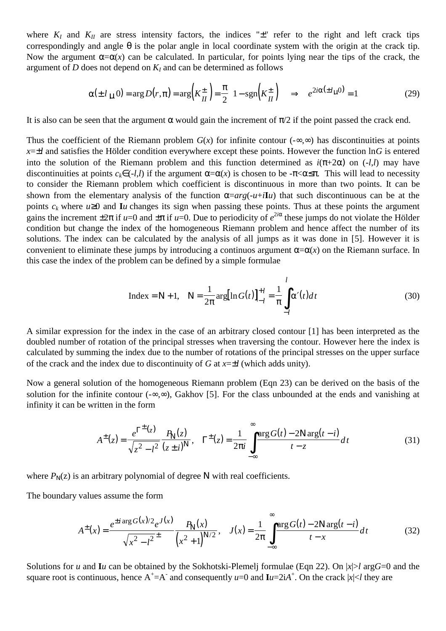where  $K_I$  and  $K_{II}$  are stress intensity factors, the indices " $\pm$ " refer to the right and left crack tips correspondingly and angle θ is the polar angle in local coordinate system with the origin at the crack tip. Now the argument  $\alpha = \alpha(x)$  can be calculated. In particular, for points lying near the tips of the crack, the argument of  $D$  does not depend on  $K_I$  and can be determined as follows

$$
\alpha(\pm l_{\mu} 0) = \arg D(r, \pi) = \arg \left( K_{II}^{\pm} \right) = \frac{\pi}{2} \left( 1 - \text{sgn} \left( K_{II}^{\pm} \right) \right) \implies e^{2i\alpha(\pm l_{\mu} 0)} = 1 \tag{29}
$$

It is also can be seen that the argument  $\alpha$  would gain the increment of  $\pi/2$  if the point passed the crack end.

Thus the coefficient of the Riemann problem  $G(x)$  for infinite contour (- $\infty$ , $\infty$ ) has discontinuities at points  $x=\pm l$  and satisfies the Hölder condition everywhere except these points. However the function  $\ln G$  is entered into the solution of the Riemann problem and this function determined as  $i(\pi+2\alpha)$  on  $(-l, l)$  may have discontinuities at points  $c_k \in (-l, l)$  if the argument  $\alpha = \alpha(x)$  is chosen to be - $\pi < \alpha \leq \pi$ . This will lead to necessity to consider the Riemann problem which coefficient is discontinuous in more than two points. It can be shown from the elementary analysis of the function  $\alpha = arg(-u+i\mathbf{I}u)$  that such discontinuous can be at the points  $c_k$  where  $u \ge 0$  and **I***u* changes its sign when passing these points. Thus at these points the argument gains the increment  $\pm 2\pi$  if  $u=0$  and  $\pm \pi$  if  $u=0$ . Due to periodicity of  $e^{2i\alpha}$  these jumps do not violate the Hölder condition but change the index of the homogeneous Riemann problem and hence affect the number of its solutions. The index can be calculated by the analysis of all jumps as it was done in [5]. However it is convenient to eliminate these jumps by introducing a continuos argument  $\alpha = \alpha(x)$  on the Riemann surface. In this case the index of the problem can be defined by a simple formulae

$$
\text{Index} = \mathbf{N} + 1, \quad \mathbf{N} = \frac{1}{2\pi} \arg[\ln G(t)]_{-l}^{+l} = \frac{1}{\pi} \int_{-l}^{l} \alpha'(t) dt \tag{30}
$$

A similar expression for the index in the case of an arbitrary closed contour [1] has been interpreted as the doubled number of rotation of the principal stresses when traversing the contour. However here the index is calculated by summing the index due to the number of rotations of the principal stresses on the upper surface of the crack and the index due to discontinuity of *G* at *x*=±*l* (which adds unity).

Now a general solution of the homogeneous Riemann problem (Eqn 23) can be derived on the basis of the solution for the infinite contour (-∞,∞), Gakhov [5]. For the class unbounded at the ends and vanishing at infinity it can be written in the form

$$
A^{\pm}(z) = \frac{e^{\Gamma^{\pm}(z)}}{\sqrt{z^2 - l^2}} \frac{P_N(z)}{(z \pm i)^N}, \quad \Gamma^{\pm}(z) = \frac{1}{2\pi i} \int_{-\infty}^{\infty} \frac{\arg G(t) - 2N \arg(t - i)}{t - z} dt
$$
(31)

where  $P_N(z)$  is an arbitrary polynomial of degree N with real coefficients.

The boundary values assume the form

$$
A^{\pm}(x) = \frac{e^{\pm i \arg G(x)/2} e^{J(x)}}{\sqrt{x^2 - l^2}^{\pm}} \frac{P_N(x)}{(x^2 + 1)^{N/2}}, \quad J(x) = \frac{1}{2\pi} \int_{-\infty}^{\infty} \frac{\arg G(t) - 2N \arg(t - i)}{t - x} dt
$$
(32)

Solutions for *u* and **I***u* can be obtained by the Sokhotski-Plemelj formulae (Eqn 22). On |*x*|>*l* arg*G*=0 and the square root is continuous, hence  $A^+=A^-$  and consequently  $u=0$  and  $Iu=2iA^+$ . On the crack  $|x|< l$  they are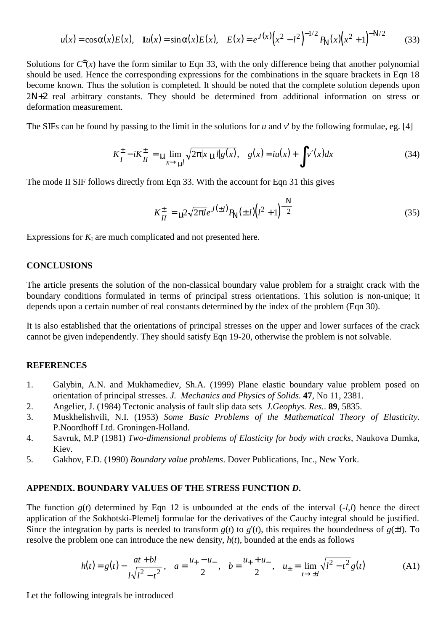$$
u(x) = \cos \alpha(x) E(x), \quad \mathbf{I}u(x) = \sin \alpha(x) E(x), \quad E(x) = e^{J(x)} \left(x^2 - l^2\right)^{-1/2} P_N(x) \left(x^2 + 1\right)^{-N/2} \tag{33}
$$

Solutions for  $C^{\pm}(x)$  have the form similar to Eqn 33, with the only difference being that another polynomial should be used. Hence the corresponding expressions for the combinations in the square brackets in Eqn 18 become known. Thus the solution is completed. It should be noted that the complete solution depends upon 2N+2 real arbitrary constants. They should be determined from additional information on stress or deformation measurement.

The SIFs can be found by passing to the limit in the solutions for *u* and *v*' by the following formulae, eg. [4]

$$
K_{I}^{\pm} - iK_{II}^{\pm} = \mu \lim_{x \to \mu I} \sqrt{2\pi |x \mu|} |g(x)|, \quad g(x) = iu(x) + \int v'(x) dx \tag{34}
$$

The mode II SIF follows directly from Eqn 33. With the account for Eqn 31 this gives

$$
K_{II}^{\pm} = \mu^2 \sqrt{2\pi l} e^{J(\pm l)} P_N(\pm l) (l^2 + 1)^{-\frac{N}{2}}
$$
\n(35)

Expressions for  $K_I$  are much complicated and not presented here.

#### **CONCLUSIONS**

The article presents the solution of the non-classical boundary value problem for a straight crack with the boundary conditions formulated in terms of principal stress orientations. This solution is non-unique; it depends upon a certain number of real constants determined by the index of the problem (Eqn 30).

It is also established that the orientations of principal stresses on the upper and lower surfaces of the crack cannot be given independently. They should satisfy Eqn 19-20, otherwise the problem is not solvable.

## **REFERENCES**

- 1. Galybin, A.N. and Mukhamediev, Sh.A. (1999) Plane elastic boundary value problem posed on orientation of principal stresses. *J. Mechanics and Physics of Solids*. **47**, No 11, 2381.
- 2. Angelier, J. (1984) Tectonic analysis of fault slip data sets *J.Geophys. Res.*. **89**, 5835.
- 3. Muskhelishvili, N.I. (1953) *Some Basic Problems of the Mathematical Theory of Elasticity*. P.Noordhoff Ltd. Groningen-Holland.
- 4. Savruk, M.P (1981) *Two-dimensional problems of Elasticity for body with cracks*, Naukova Dumka, Kiev.
- 5. Gakhov, F.D. (1990) *Boundary value problems*. Dover Publications, Inc., New York.

## **APPENDIX. BOUNDARY VALUES OF THE STRESS FUNCTION** *D***.**

The function  $g(t)$  determined by Eqn 12 is unbounded at the ends of the interval  $(-l, l)$  hence the direct application of the Sokhotski-Plemelj formulae for the derivatives of the Cauchy integral should be justified. Since the integration by parts is needed to transform  $g(t)$  to  $g'(t)$ , this requires the boundedness of  $g(\pm l)$ . To resolve the problem one can introduce the new density, *h*(*t*), bounded at the ends as follows

$$
h(t) = g(t) - \frac{at + bl}{l\sqrt{l^2 - t^2}}, \quad a = \frac{u_+ - u_-}{2}, \quad b = \frac{u_+ + u_-}{2}, \quad u_{\pm} = \lim_{t \to \pm l} \sqrt{l^2 - t^2} g(t) \tag{A1}
$$

Let the following integrals be introduced